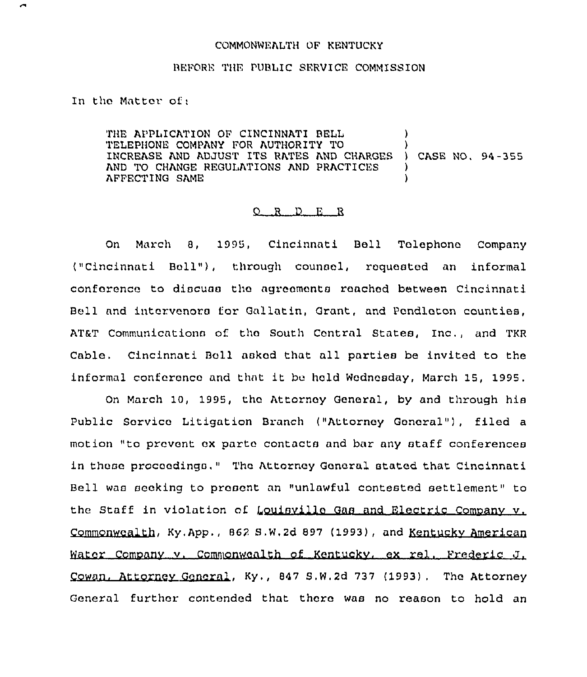## COMMONWEALTH OF KENTUCKY

## BEFORE THE PUBLIC SERVICE COMMISSION

In tho Matter of;

THE APPLICATION OF CINCINNATI BELL  $)$ TELEPHONE COMPANY FOR AUTHORITY TO ) INCREASE AND ADJUST ITS RATES AND CHARGES ) CASE NO, 94-355 AND TO CHANGE REGULATIONS AND PRACTICES AFFECTING SAME )

## 0 <sup>R</sup> <sup>D</sup> E <sup>R</sup>

On March 8, 1995, Cincinnati Bell Tolephono Company ("Cincinnati Boll"), through counsel, requested an informal conference to discuss the agrocmonta reached between Cincinnati Bell and intervenors for Gallatin, Grant, and Pondloton counties, AT&T Communications of tho South Contral States, Inc., and TKR Cable, Cincinnati Boll asked that all parties be invited to the informal conference and that it bu hold Wodncsday, March 15, 1995,

On March 10, 1995, tho Attorney General, by and through his Public Sorvico Litigation Branch ("Attorney Gonoral"), filed a motion "to prevent ox parte contacts and bar any staff conferences in those proceedings." Tha Attorney General stated that. Cincinnati Bell was seeking to present an "unlawful contested settlement" to the Staff in violation of Louisville Gas and Electric Company v. Commonwealth, Ky,App,, 86? S.W,2d 897 ( 1993), and Kentuckv American Water Company v. Commonwealth of Kentucky, ex rel. Frederic J. Cowan, Attorney Goneral, Ky., 847 S.W.2d 737 (1993). The Attorney General further contended that thoro was no reason to hold an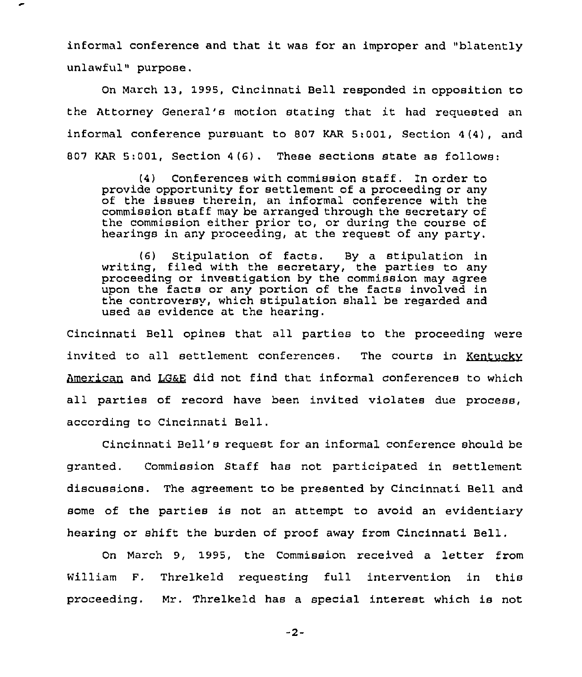informal conference and that it was for an improper and "blatently unlawful" purpose.

On March 13, 1995, Cincinnati Bell responded in opposition to the Attorney General's motion stating that it had requested an informal conference pursuant to 807 KAR 5:001, Section 4(4), and 807 KAR 5:001, Section 4(6). These sections state as follows:

(4) Conferences with commission staff. In order to provide opportunity for settlement of <sup>a</sup> proceeding or any of the issues therein, an informal conference with the commission staff may be arranged through the secretary of the commission either prior to, or during the course of hearings in any proceeding, at the request of any party.

(6) Stipulation of facts. By a stipulation in writing, filed with the secretary, the parties to any proceeding or investigation by the commission may agree upon the facts or any portion of the facts involved in the controversy, which stipulation shall be regarded and used as evidence at the hearing.

cincinnati Bell opines that all parties to the proceeding were invited to all settlement conferences. The courts in Kentuckv American and LG&E did not find that informal conferences to which all parties of record have been invited violates due process, according to Cincinnati Bell.

Cincinnati Bell's request for an informal conference should be granted. Commission Staff has not participated in settlement discussions. The agreement to be presented by Cincinnati Bell and some of the parties is not an attempt to avoid an evidentiary hearing or shift the burden of proof away from Cincinnati Bell.

On March 9, 1995, the Commission received a letter from William F. Threlkeld requesting full intervention in this proceeding. Mr. Threlkeld has a special interest which is not

 $-2-$